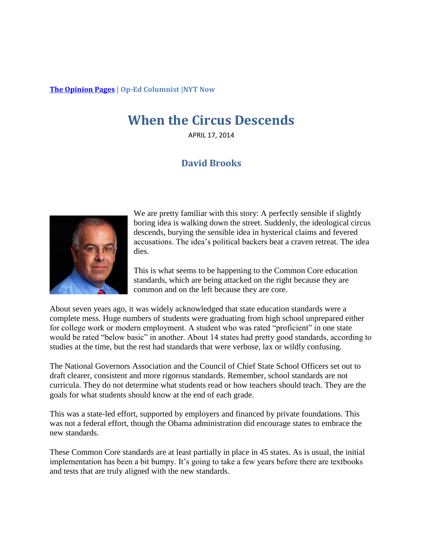## **[The Opinion Pages](http://www.nytimes.com/pages/opinion/index.html) | Op-Ed Columnist |NYT Now**

## **When the Circus Descends**

APRIL 17, 2014

## **David Brooks**



We are pretty familiar with this story: A perfectly sensible if slightly boring idea is walking down the street. Suddenly, the ideological circus descends, burying the sensible idea in hysterical claims and fevered accusations. The idea's political backers beat a craven retreat. The idea dies.

This is what seems to be happening to the Common Core education standards, which are being attacked on the right because they are common and on the left because they are core.

About seven years ago, it was widely acknowledged that state education standards were a complete mess. Huge numbers of students were graduating from high school unprepared either for college work or modern employment. A student who was rated "proficient" in one state would be rated "below basic" in another. About 14 states had pretty good standards, according to studies at the time, but the rest had standards that were verbose, lax or wildly confusing.

The National Governors Association and the Council of Chief State School Officers set out to draft clearer, consistent and more rigorous standards. Remember, school standards are not curricula. They do not determine what students read or how teachers should teach. They are the goals for what students should know at the end of each grade.

This was a state-led effort, supported by employers and financed by private foundations. This was not a federal effort, though the Obama administration did encourage states to embrace the new standards.

These Common Core standards are at least partially in place in 45 states. As is usual, the initial implementation has been a bit bumpy. It's going to take a few years before there are textbooks and tests that are truly aligned with the new standards.